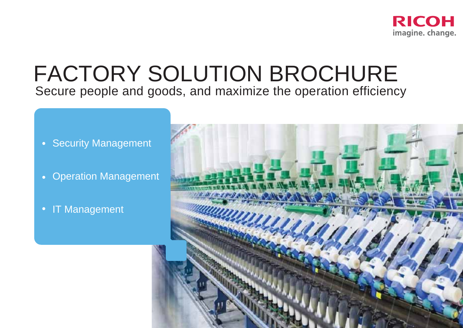

# FACTORY SOLUTION BROCHURE Secure people and goods, and maximize the operation efficiency

- Security Management
- Operation Management
- IT Management

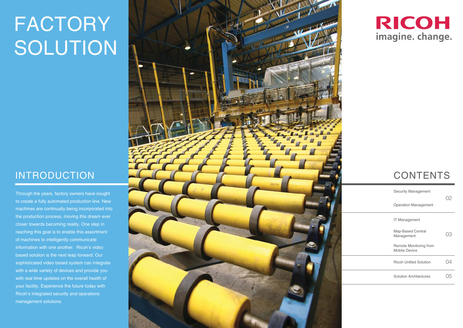# **FACTORY** SOLUTION

Through the years, factory owners have sought to create a fully automated production line. New machines are continually being incorporated into the production process, moving this dream ever closer towards becoming reality. One step in reaching this goal is to enable this assortment of machines to intelligently communicate information with one another. Ricoh's video based solution is the next leap forward. Our sophisticated video based system can integrate with a wide variety of devices and provide you with real time updates on the overall health of your facility. Experience the future today with Ricoh's integrated security and operations management solutions.





| <b>Security Management</b>              | 02    |
|-----------------------------------------|-------|
| <b>Operation Management</b>             |       |
| <b>IT Management</b>                    |       |
| Map-Based Central<br>Management         | ( )(∙ |
| Remote Monitoring from<br>Mobile Device |       |
| <b>Ricoh Unified Solution</b>           |       |
| Solution Architectures                  |       |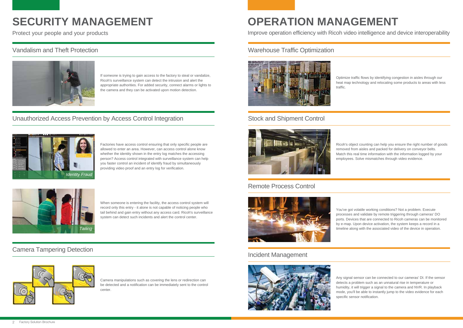## **SECURITY MANAGEMENT**

Protect your people and your products

#### Vandalism and Theft Protection **Warehouse Traffic Optimization** Warehouse Traffic Optimization



If someone is trying to gain access to the factory to steal or vandalize, Ricoh's surveillance system can detect the intrusion and alert the appropriate authorities. For added security, connect alarms or lights to the camera and they can be activated upon motion detection.

#### Unauthorized Access Prevention by Access Control Integration



Factories have access control ensuring that only specific people are allowed to enter an area. However, can access control alone know whether the identity shown in the entry log matches the accessing person? Access control integrated with surveillance system can help you faster control an incident of identify fraud by simultaneously providing video proof and an entry log for verification.



When someone is entering the facility, the access control system will record only this entry - it alone is not capable of noticing people who tail behind and gain entry without any access card. Ricoh's surveillance system can detect such incidents and alert the control center.

## **Camera Tampering Detection**<br> **Camera Tampering Detection**<br> **Camera Tampering Detection**



Camera manipulations such as covering the lens or redirection can be detected and a notification can be immediately sent to the control center.

## **OPERATION MANAGEMENT**

Improve operation efficiency with Ricoh video intelligence and device interoperability



Optimize traffic flows by identifying congestion in aisles through our heat map technology and relocating some products to areas with less traffic.

#### Stock and Shipment Control



Ricoh's object counting can help you ensure the right number of goods removed from aisles and packed for delivery on conveyor belts. Match this real time information with the information logged by your employees. Solve mismatches through video evidence.

#### Remote Process Control



You've got volatile working conditions? Not a problem. Execute processes and validate by remote triggering through cameras' DO ports. Devices that are connected to Ricoh cameras can be monitored by e-map. Upon device activation, the system keeps a record in a timeline along with the associated video of the device in operation.



Any signal sensor can be connected to our cameras' DI. If the sensor detects a problem such as an unnatural rise in temperature or humidity, it will trigger a signal to the camera and NVR. In playback mode, you'll be able to instantly jump to the video evidence for each specific sensor notification.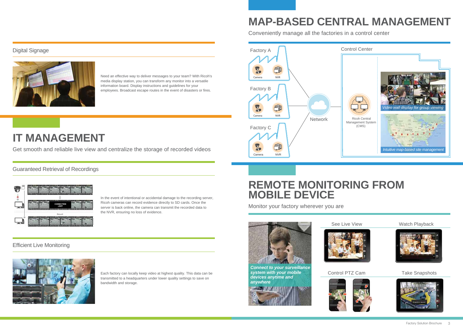## **MAP-BASED CENTRAL MANAGEMENT**

Conveniently manage all the factories in a control center



## **IT MANAGEMENT**

Get smooth and reliable live view and centralize the storage of recorded videos

### Guaranteed Retrieval of Recordings



In the event of intentional or accidental damage to the recording server, Ricoh cameras can record evidence directly to SD cards. Once the server is back online, the camera can transmit the recorded data to the NVR, ensuring no loss of evidence.

#### Efficient Live Monitoring



Each factory can locally keep video at highest quality. This data can be transmitted to a headquarters under lower quality settings to save on bandwidth and storage.

## **REMOTE MONITORING FROM MOBILE DEVICE**

Monitor your factory wherever you are



*Connect to your surveillance system with your mobile devices anytime and anywhere*





Control PTZ Cam





Watch Playback

Take Snapshots



### Factory Solution Brochure 3

#### Digital Signage



Need an effective way to deliver messages to your team? With Ricoh's media display station, you can transform any monitor into a versatile information board. Display instructions and guidelines for your employees. Broadcast escape routes in the event of disasters or fires.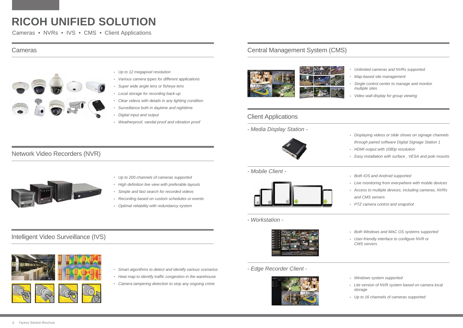## **RICOH UNIFIED SOLUTION**

Cameras • NVRs • IVS • CMS • Client Applications

#### Cameras



- *Up to 12 megapixel resolution*
- *Various camera types for different applications*
- *Super wide angle lens or fisheye lens*
- *Local storage for recording back-up*
- *Clear videos with details in any lighting condition*
- *Surveillance both in daytime and nighttime*
- *Digital input and output*
- *Weatherproof, vandal proof and vibration proof*

#### Network Video Recorders (NVR)



- *Up to 200 channels of cameras supported*
- *High definition live view with preferable layouts*
- *Simple and fast search for recorded videos*
- *Recording based on custom schedules or events*
- *Optimal reliability with redundancy system*

### Intelligent Video Surveillance (IVS)



- *Smart algorithms to detect and identify various scenarios*
- *Heat map to identify traffic congestion in the warehouse*
- *Camera tampering detection to stop any ongoing crime*

#### Central Management System (CMS)



- *Unlimited cameras and NVRs supported*
- *Map-based site management*
- *Single control center to manage and monitor multiple sites*
- *Video wall display for group viewing*

#### Client Applications

*- Media Display Station -*



*- Mobile Client -*



- *Displaying videos or slide shows on signage channels through paired software Digital Signage Station 1*
- *HDMI output with 1080p resolution*
- *Easy installation with surface , VESA and pole mounts*
- *Both iOS and Android supported*
- *Live monitoring from everywhere with mobile devices*
- *Access to multiple devices, including cameras, NVRs and CMS servers*
- *PTZ camera control and snapshot*

*- Workstation -*



*- Edge Recorder Client -*



- *Both Windows and MAC OS systems supported* • *User-friendly interface to configure NVR or* 
	- *CMS servers*
- *Windows system supported*
- *Lite version of NVR system based on camera local storage*
- *Up to 16 channels of cameras supported*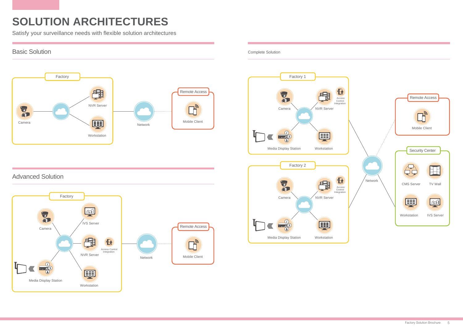## **SOLUTION ARCHITECTURES**

Satisfy your surveillance needs with flexible solution architectures

### Basic Solution



### Advanced Solution



#### Complete Solution